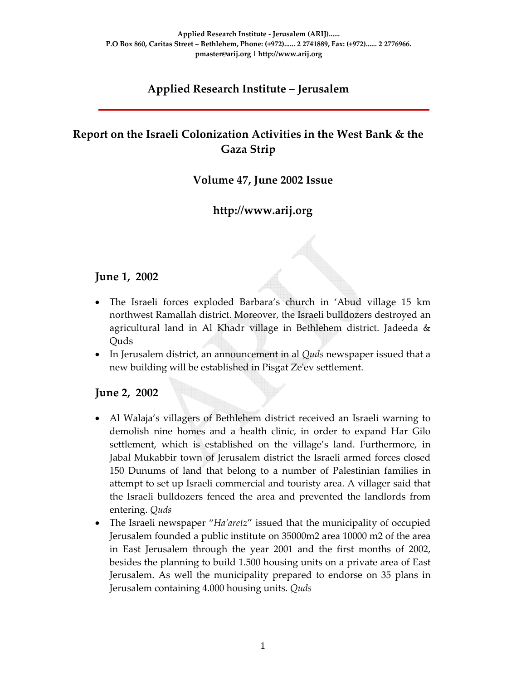# **Applied Research Institute – Jerusalem**

# **Report on the Israeli Colonization Activities in the West Bank & the Gaza Strip**

### **Volume 47, June 2002 Issue**

# **http://www.arij.org**

#### **June 1, 2002**

- The Israeli forces exploded Barbara's church in 'Abud village 15 km northwest Ramallah district. Moreover, the Israeli bulldozers destroyed an agricultural land in Al Khadr village in Bethlehem district. Jadeeda & Quds
- In Jerusalem district, an announcement in al *Quds* newspaper issued that a new building will be established in Pisgat Zeʹev settlement.

#### **June 2, 2002**

- Al Walaja's villagers of Bethlehem district received an Israeli warning to demolish nine homes and a health clinic, in order to expand Har Gilo settlement, which is established on the village's land. Furthermore, in Jabal Mukabbir town of Jerusalem district the Israeli armed forces closed 150 Dunums of land that belong to a number of Palestinian families in attempt to set up Israeli commercial and touristy area. A villager said that the Israeli bulldozers fenced the area and prevented the landlords from entering. *Quds*
- The Israeli newspaper "*Ha'aretz*" issued that the municipality of occupied Jerusalem founded a public institute on 35000m2 area 10000 m2 of the area in East Jerusalem through the year 2001 and the first months of 2002, besides the planning to build 1.500 housing units on a private area of East Jerusalem. As well the municipality prepared to endorse on 35 plans in Jerusalem containing 4.000 housing units. *Quds*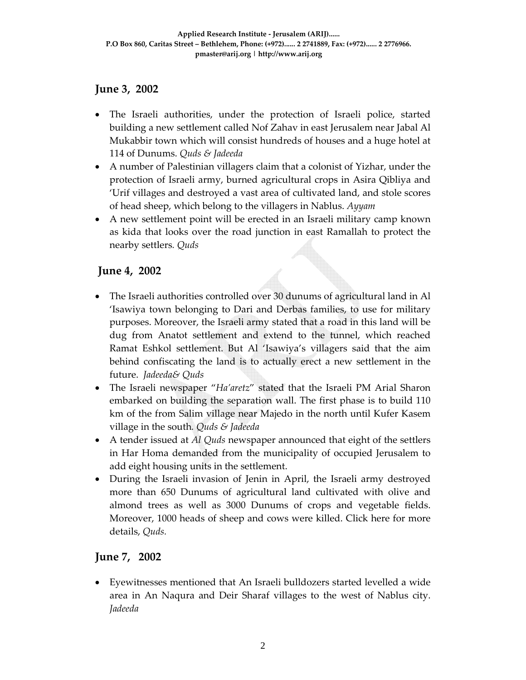# **June 3, 2002**

- The Israeli authorities, under the protection of Israeli police, started building a new settlement called Nof Zahav in east Jerusalem near Jabal Al Mukabbir town which will consist hundreds of houses and a huge hotel at 114 of Dunums. *Quds & Jadeeda*
- A number of Palestinian villagers claim that a colonist of Yizhar, under the protection of Israeli army, burned agricultural crops in Asira Qibliya and 'Urif villages and destroyed a vast area of cultivated land, and stole scores of head sheep, which belong to the villagers in Nablus. *Ayyam*
- A new settlement point will be erected in an Israeli military camp known as kida that looks over the road junction in east Ramallah to protect the nearby settlers*. Quds*

# **June 4, 2002**

- The Israeli authorities controlled over 30 dunums of agricultural land in Al 'Isawiya town belonging to Dari and Derbas families, to use for military purposes. Moreover, the Israeli army stated that a road in this land will be dug from Anatot settlement and extend to the tunnel, which reached Ramat Eshkol settlement. But Al 'Isawiya's villagers said that the aim behind confiscating the land is to actually erect a new settlement in the future. *Jadeeda& Quds*
- The Israeli newspaper "*Ha'aretz*" stated that the Israeli PM Arial Sharon embarked on building the separation wall. The first phase is to build 110 km of the from Salim village near Majedo in the north until Kufer Kasem village in the south*. Quds & Jadeeda*
- A tender issued at *Al Quds* newspaper announced that eight of the settlers in Har Homa demanded from the municipality of occupied Jerusalem to add eight housing units in the settlement.
- During the Israeli invasion of Jenin in April, the Israeli army destroyed more than 650 Dunums of agricultural land cultivated with olive and almond trees as well as 3000 Dunums of crops and vegetable fields. Moreover, 1000 heads of sheep and cows were killed. Click here for more details, *Quds.*

## **June 7, 2002**

• Eyewitnesses mentioned that An Israeli bulldozers started levelled a wide area in An Naqura and Deir Sharaf villages to the west of Nablus city. *Jadeeda*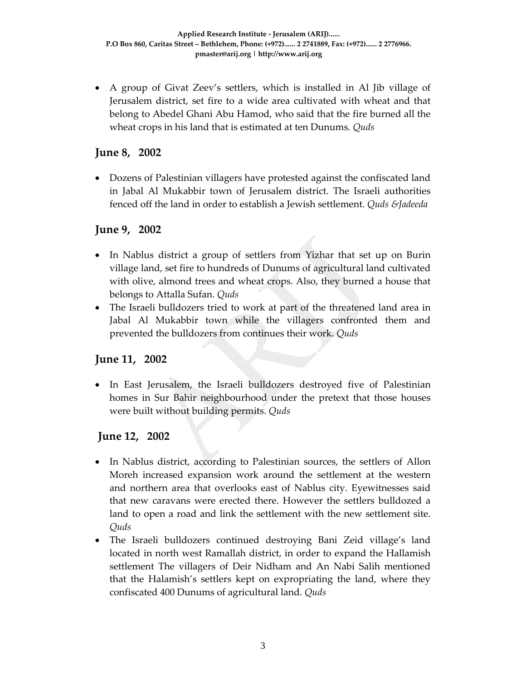• A group of Givat Zeev's settlers, which is installed in Al Jib village of Jerusalem district, set fire to a wide area cultivated with wheat and that belong to Abedel Ghani Abu Hamod, who said that the fire burned all the wheat crops in his land that is estimated at ten Dunums*. Quds*

### **June 8, 2002**

• Dozens of Palestinian villagers have protested against the confiscated land in Jabal Al Mukabbir town of Jerusalem district. The Israeli authorities fenced off the land in order to establish a Jewish settlement. *Quds &Jadeeda*

### **June 9, 2002**

- In Nablus district a group of settlers from Yizhar that set up on Burin village land, set fire to hundreds of Dunums of agricultural land cultivated with olive, almond trees and wheat crops. Also, they burned a house that belongs to Attalla Sufan. *Quds*
- The Israeli bulldozers tried to work at part of the threatened land area in Jabal Al Mukabbir town while the villagers confronted them and prevented the bulldozers from continues their work. *Quds*

#### **June 11, 2002**

• In East Jerusalem, the Israeli bulldozers destroyed five of Palestinian homes in Sur Bahir neighbourhood under the pretext that those houses were built without building permits. *Quds*

#### **June 12, 2002**

- In Nablus district, according to Palestinian sources, the settlers of Allon Moreh increased expansion work around the settlement at the western and northern area that overlooks east of Nablus city. Eyewitnesses said that new caravans were erected there. However the settlers bulldozed a land to open a road and link the settlement with the new settlement site. *Quds*
- The Israeli bulldozers continued destroying Bani Zeid village's land located in north west Ramallah district, in order to expand the Hallamish settlement The villagers of Deir Nidham and An Nabi Salih mentioned that the Halamish's settlers kept on expropriating the land, where they confiscated 400 Dunums of agricultural land. *Quds*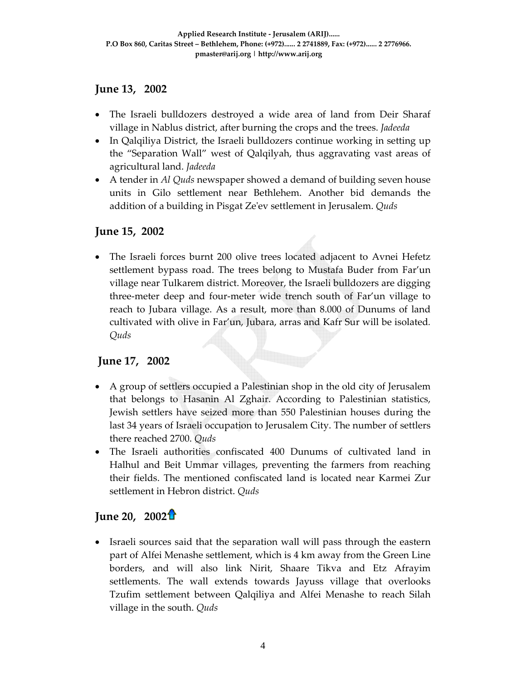### **June 13, 2002**

- The Israeli bulldozers destroyed a wide area of land from Deir Sharaf village in Nablus district, after burning the crops and the trees. *Jadeeda*
- In Qalqiliya District, the Israeli bulldozers continue working in setting up the "Separation Wall" west of Qalqilyah, thus aggravating vast areas of agricultural land. *Jadeeda*
- A tender in *Al Quds* newspaper showed a demand of building seven house units in Gilo settlement near Bethlehem. Another bid demands the addition of a building in Pisgat Zeʹev settlement in Jerusalem. *Quds*

### **June 15, 2002**

• The Israeli forces burnt 200 olive trees located adjacent to Avnei Hefetz settlement bypass road. The trees belong to Mustafa Buder from Far'un village near Tulkarem district. Moreover, the Israeli bulldozers are digging three‐meter deep and four‐meter wide trench south of Far'un village to reach to Jubara village. As a result, more than 8.000 of Dunums of land cultivated with olive in Far'un, Jubara, arras and Kafr Sur will be isolated*. Quds* 

## **June 17, 2002**

- A group of settlers occupied a Palestinian shop in the old city of Jerusalem that belongs to Hasanin Al Zghair. According to Palestinian statistics, Jewish settlers have seized more than 550 Palestinian houses during the last 34 years of Israeli occupation to Jerusalem City. The number of settlers there reached 2700. *Quds*
- The Israeli authorities confiscated 400 Dunums of cultivated land in Halhul and Beit Ummar villages, preventing the farmers from reaching their fields. The mentioned confiscated land is located near Karmei Zur settlement in Hebron district. *Quds*

# **June 20, 2002**

• Israeli sources said that the separation wall will pass through the eastern part of Alfei Menashe settlement, which is 4 km away from the Green Line borders, and will also link Nirit, Shaare Tikva and Etz Afrayim settlements. The wall extends towards Jayuss village that overlooks Tzufim settlement between Qalqiliya and Alfei Menashe to reach Silah village in the south. *Quds*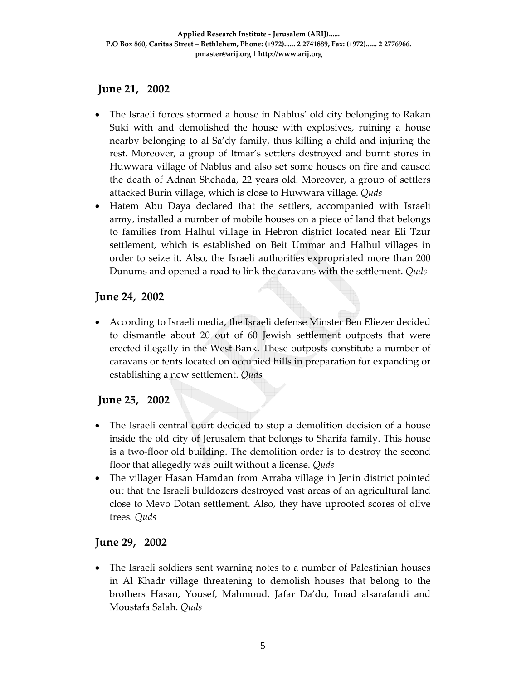# **June 21, 2002**

- The Israeli forces stormed a house in Nablus' old city belonging to Rakan Suki with and demolished the house with explosives, ruining a house nearby belonging to al Sa'dy family, thus killing a child and injuring the rest. Moreover, a group of Itmar's settlers destroyed and burnt stores in Huwwara village of Nablus and also set some houses on fire and caused the death of Adnan Shehada, 22 years old. Moreover, a group of settlers attacked Burin village, which is close to Huwwara village. *Quds*
- Hatem Abu Daya declared that the settlers, accompanied with Israeli army, installed a number of mobile houses on a piece of land that belongs to families from Halhul village in Hebron district located near Eli Tzur settlement, which is established on Beit Ummar and Halhul villages in order to seize it. Also, the Israeli authorities expropriated more than 200 Dunums and opened a road to link the caravans with the settlement. *Quds*

# **June 24, 2002**

• According to Israeli media, the Israeli defense Minster Ben Eliezer decided to dismantle about 20 out of 60 Jewish settlement outposts that were erected illegally in the West Bank. These outposts constitute a number of caravans or tents located on occupied hills in preparation for expanding or establishing a new settlement. *Quds* 

# **June 25, 2002**

- The Israeli central court decided to stop a demolition decision of a house inside the old city of Jerusalem that belongs to Sharifa family. This house is a two‐floor old building. The demolition order is to destroy the second floor that allegedly was built without a license. *Quds*
- The villager Hasan Hamdan from Arraba village in Jenin district pointed out that the Israeli bulldozers destroyed vast areas of an agricultural land close to Mevo Dotan settlement. Also, they have uprooted scores of olive trees*. Quds*

## **June 29, 2002**

• The Israeli soldiers sent warning notes to a number of Palestinian houses in Al Khadr village threatening to demolish houses that belong to the brothers Hasan, Yousef, Mahmoud, Jafar Da'du, Imad alsarafandi and Moustafa Salah. *Quds*